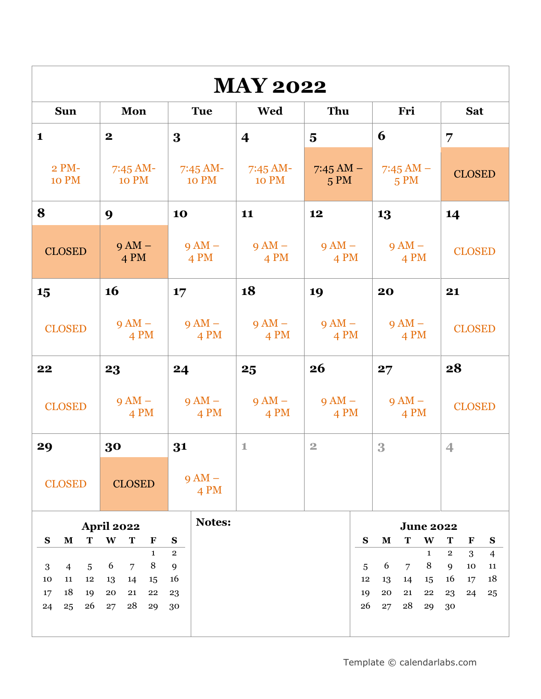| <b>MAY 2022</b>                        |                                        |                            |                            |                             |                                                     |                                                                     |
|----------------------------------------|----------------------------------------|----------------------------|----------------------------|-----------------------------|-----------------------------------------------------|---------------------------------------------------------------------|
| <b>Sun</b>                             | Mon                                    | <b>Tue</b>                 | Wed                        | Thu                         | Fri                                                 | <b>Sat</b>                                                          |
| $\mathbf{1}$                           | $\mathbf 2$                            | 3                          | $\overline{\mathbf{4}}$    | $\overline{\mathbf{5}}$     | 6                                                   | 7                                                                   |
| $2 PM-$<br><b>10 PM</b>                | $7:45$ AM-<br><b>10 PM</b>             | 7:45 AM-<br><b>10 PM</b>   | $7:45$ AM-<br><b>10 PM</b> | $7:45 \text{ AM} -$<br>5 PM | 7:45 AM $-$<br>5 PM                                 | <b>CLOSED</b>                                                       |
| 8                                      | 9                                      | 10                         | 11                         | 12                          | 13                                                  | 14                                                                  |
| <b>CLOSED</b>                          | $9 AM -$<br>4 PM                       | $9AM -$<br>$4 \text{ PM}$  | $9AM -$<br>$4 \text{ PM}$  | $9 AM -$<br>$4 \text{ PM}$  | $9AM -$<br>$4 \text{ PM}$                           | <b>CLOSED</b>                                                       |
| 15                                     | <b>16</b>                              | 17                         | 18                         | 19                          | 20                                                  | 21                                                                  |
| <b>CLOSED</b>                          | $9 AM -$<br>4 PM                       | $9AM -$<br>$4 \text{ PM}$  | $9 AM -$<br>$4 \text{ PM}$ | $9 AM -$<br>4 PM            | $9AM -$<br>$4 \text{ PM}$                           | <b>CLOSED</b>                                                       |
| 22                                     | 23                                     | 24                         | 25                         | 26                          | 27                                                  | 28                                                                  |
| <b>CLOSED</b>                          | $9AM -$<br>$4 \text{ PM}$              | $9 AM -$<br>$4 \text{ PM}$ | $9AM -$<br>$4 \text{ PM}$  | $9 AM -$<br>$4 \text{ PM}$  | $9AM -$<br>$4 \text{ PM}$                           | <b>CLOSED</b>                                                       |
| 29                                     | 30                                     | 31                         | $\mathbbm{1}$              | $\overline{2}$              | 3                                                   | $\overline{4}$                                                      |
| <b>CLOSED</b>                          | <b>CLOSED</b>                          | $9AM -$<br>4 PM            |                            |                             |                                                     |                                                                     |
|                                        | <b>Notes:</b><br><b>April 2022</b>     |                            |                            | <b>June 2022</b>            |                                                     |                                                                     |
| $\mathbf{s}$<br>$\mathbf M$<br>T       | W<br>T<br>$\mathbf{F}$<br>$\mathbf{1}$ | ${\bf S}$<br>$\,2$         |                            |                             | $\mathbf{s}$<br>W<br>${\bf M}$<br>T<br>$\mathbf{1}$ | T<br>$\mathbf F$<br>${\bf S}$<br>$\mathbf 2$<br>3<br>$\overline{4}$ |
| $\overline{4}$<br>$5\phantom{.0}$<br>3 | 8<br>6<br>$\overline{7}$               | $\mathbf{9}$               |                            |                             | 8<br>6<br>$\overline{7}$<br>5                       | 9<br>$10\,$<br>$11\,$                                               |
| 10<br>11<br>12<br>18<br>19<br>17       | 14<br>13<br>15<br>20<br>21<br>22       | 16                         |                            |                             | 12<br>13<br>14<br>15<br>19<br>20<br>21<br>22        | 18<br>16<br>17<br>23<br>24                                          |
| 26<br>24<br>25                         | 28<br>27<br>29                         | 23<br>30                   |                            |                             | 26<br>28<br>27<br>29                                | 25<br>30                                                            |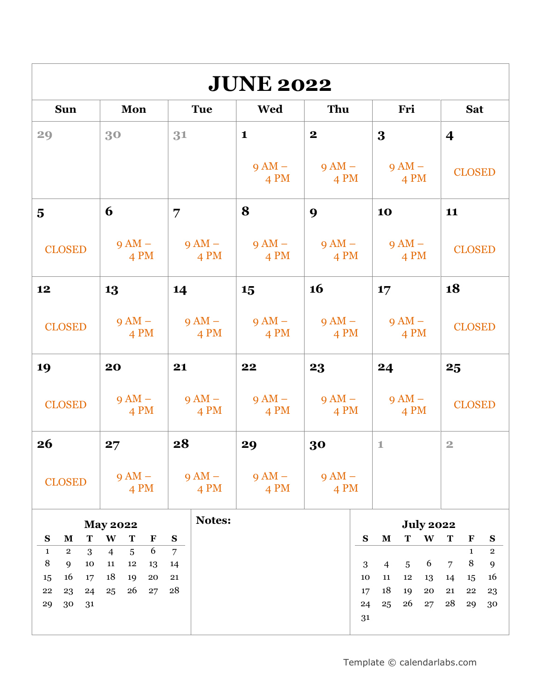| <b>JUNE 2022</b>                                                                                        |                                                                                |                                  |                           |                            |                                                                                                                                      |                                                                                                                     |
|---------------------------------------------------------------------------------------------------------|--------------------------------------------------------------------------------|----------------------------------|---------------------------|----------------------------|--------------------------------------------------------------------------------------------------------------------------------------|---------------------------------------------------------------------------------------------------------------------|
| <b>Sun</b>                                                                                              | Mon                                                                            | <b>Tue</b>                       | Wed                       | Thu                        | Fri                                                                                                                                  | <b>Sat</b>                                                                                                          |
| 29                                                                                                      | 30                                                                             | 31                               | $\mathbf{1}$              | $\boldsymbol{2}$           | $\bf{3}$                                                                                                                             | $\overline{\mathbf{4}}$                                                                                             |
|                                                                                                         |                                                                                |                                  | $9AM -$<br>$4 \text{ PM}$ | $9 AM -$<br>$4 \text{ PM}$ | $9AM -$<br>$4 \text{ PM}$                                                                                                            | <b>CLOSED</b>                                                                                                       |
| $\overline{\mathbf{5}}$                                                                                 | 6                                                                              | 7                                | 8                         | 9                          | 10                                                                                                                                   | 11                                                                                                                  |
| <b>CLOSED</b>                                                                                           | $9 AM -$<br>$4 \text{ PM}$                                                     | $9AM -$<br>$4 \text{ PM}$        | $9AM -$<br>$4 \text{ PM}$ | $9AM -$<br>$4 \text{ PM}$  | $9AM -$<br>$4 \text{ PM}$                                                                                                            | <b>CLOSED</b>                                                                                                       |
| 12                                                                                                      | 13                                                                             | 14                               | 15                        | <b>16</b>                  | 17                                                                                                                                   | 18                                                                                                                  |
| <b>CLOSED</b>                                                                                           | $9AM -$<br>$4 \text{ PM}$                                                      | $9AM -$<br>$4 \text{ PM}$        | $9AM -$<br>$4 \text{ PM}$ | $9AM -$<br>$4 \text{ PM}$  | $9AM -$<br>$4 \text{ PM}$                                                                                                            | <b>CLOSED</b>                                                                                                       |
| 19                                                                                                      | 20                                                                             | 21                               | 22                        | 23                         | 24                                                                                                                                   | 25                                                                                                                  |
| <b>CLOSED</b>                                                                                           | $9 AM -$<br>$4 \text{ PM}$                                                     | $9 AM -$<br>$4 \text{ PM}$       | $9AM -$<br>$4 \text{ PM}$ | $9AM -$<br>$4 \text{ PM}$  | $9AM -$<br>$4 \text{ PM}$                                                                                                            | <b>CLOSED</b>                                                                                                       |
| 26                                                                                                      | 27                                                                             | 28                               | 29                        | 30                         | $\mathbbm{1}$                                                                                                                        | $\overline{2}$                                                                                                      |
| <b>CLOSED</b>                                                                                           | $9AM -$<br>4 PM                                                                | $9 AM -$<br>4 PM                 | $9 AM -$<br>4 PM          | $9 AM -$<br>4 PM           |                                                                                                                                      |                                                                                                                     |
| S<br>$\mathbf{M}$<br>T                                                                                  | <b>May 2022</b><br>W<br>T<br>$\mathbf F$                                       | <b>Notes:</b><br>${\bf S}$       |                           |                            | <b>July 2022</b><br>${\bf S}$<br>$\mathbf M$<br>T<br>W                                                                               | T<br>$\mathbf F$<br>${\bf S}$                                                                                       |
| $\mathbf{2}$<br>3<br>$\mathbf{1}$<br>8<br>9<br>10<br>16<br>17<br>15<br>22<br>23<br>24<br>30<br>29<br>31 | 6<br>5<br>$\overline{4}$<br>11<br>12<br>13<br>18<br>19<br>20<br>26<br>25<br>27 | $\overline{7}$<br>14<br>21<br>28 |                           |                            | $\overline{5}$<br>6<br>3<br>$\overline{4}$<br>10<br>11<br>$12\,$<br>13<br>18<br>19<br>${\bf 20}$<br>17<br>26<br>24<br>25<br>27<br>31 | $\mathbf{1}$<br>$\mathbf 2$<br>$\,8\,$<br>9<br>$\overline{7}$<br>16<br>14<br>15<br>21<br>22<br>23<br>28<br>29<br>30 |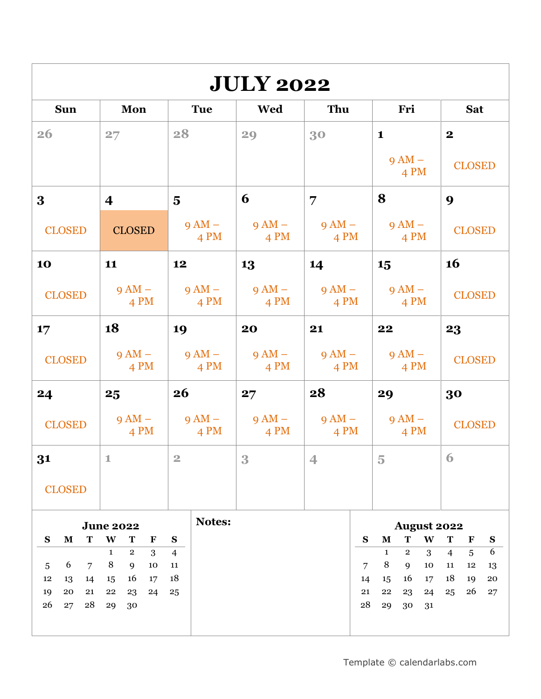| <b>JULY 2022</b>                 |                                                          |                            |                           |                            |          |                                                           |                                            |
|----------------------------------|----------------------------------------------------------|----------------------------|---------------------------|----------------------------|----------|-----------------------------------------------------------|--------------------------------------------|
| <b>Sun</b>                       | Mon                                                      | <b>Tue</b>                 | <b>Wed</b>                | Thu                        |          | Fri                                                       | <b>Sat</b>                                 |
| 26                               | 27                                                       | 28                         | 29                        | 30                         |          | $\mathbf{1}$                                              | $\boldsymbol{2}$                           |
|                                  |                                                          |                            |                           |                            |          | $9 AM -$<br>4 PM                                          | <b>CLOSED</b>                              |
| 3                                | $\overline{\mathbf{4}}$                                  | $\overline{\mathbf{5}}$    | 6                         | 7                          |          | 8                                                         | 9                                          |
| <b>CLOSED</b>                    | <b>CLOSED</b>                                            | $9 AM -$<br>4 PM           | $9AM -$<br>4 PM           | $9AM -$<br>4 PM            |          | $9AM -$<br>4 PM                                           | <b>CLOSED</b>                              |
| 10                               | 11                                                       | 12                         | 13                        | 14                         |          | 15                                                        | <b>16</b>                                  |
| <b>CLOSED</b>                    | $9AM -$<br>4 PM                                          | $9 AM -$<br>$4 \text{ PM}$ | $9AM -$<br>4 PM           | $9 AM -$<br>4 PM           |          | $9 AM -$<br>4 PM                                          | <b>CLOSED</b>                              |
| 17                               | 18                                                       | 19                         | 20                        | 21                         |          | 22                                                        | 23                                         |
| <b>CLOSED</b>                    | $9AM -$<br>$4 \text{ PM}$                                | $9 AM -$<br>$4 \text{ PM}$ | $9AM -$<br>$4 \text{ PM}$ | $9 AM -$<br>$4 \text{ PM}$ |          | $9 AM -$<br>$4 \text{ PM}$                                | <b>CLOSED</b>                              |
| 24                               | 25                                                       | <b>26</b>                  | 27                        | 28                         |          | 29                                                        | 30                                         |
| <b>CLOSED</b>                    | $9AM -$<br>$4 \text{ PM}$                                | $9 AM -$<br>$4 \text{ PM}$ | $9AM -$<br>$4 \text{ PM}$ | $9 AM -$<br>$4 \text{ PM}$ |          | $9AM -$<br>4 PM                                           | <b>CLOSED</b>                              |
| 31                               | $1\,$                                                    | $\overline{2}$             | 3                         | $\overline{4}$             |          | 5 <sup>1</sup>                                            | 6                                          |
| <b>CLOSED</b>                    |                                                          |                            |                           |                            |          |                                                           |                                            |
|                                  | <b>June 2022</b>                                         | Notes:                     |                           |                            |          | <b>August 2022</b>                                        |                                            |
| $\mathbf S$<br>$\mathbf M$<br>T  | W<br>T<br>F                                              | ${\bf S}$                  |                           |                            | S        | $\mathbf T$<br>W<br>${\bf M}$                             | ${\bf S}$<br>T<br>$\mathbf F$              |
| 6<br>$\overline{7}$<br>5         | $\mathbf{1}$<br>$\overline{2}$<br>3<br>$\, 8$<br>9<br>10 | $\overline{4}$<br>11       |                           |                            | 7        | 3<br>$\overline{2}$<br>$\mathbf{1}$<br>$\,8\,$<br>9<br>10 | 6<br>5<br>$\overline{4}$<br>12<br>13<br>11 |
| 12<br>13<br>14                   | 16<br>15<br>17                                           | 18                         |                           |                            | 14       | 16<br>17<br>15                                            | 18<br>19<br>20                             |
| 19<br>20<br>21<br>26<br>28<br>27 | ${\bf 22}$<br>23<br>24<br>29<br>30                       | 25                         |                           |                            | 21<br>28 | 23<br>22<br>24<br>29<br>30                                | 26<br>$27\,$<br>25                         |
|                                  |                                                          |                            |                           |                            |          | 31                                                        |                                            |